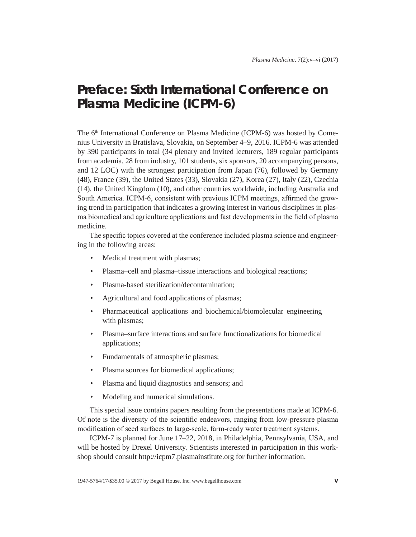## **Preface: Sixth International Conference on Plasma Medicine (ICPM-6)**

The 6<sup>th</sup> International Conference on Plasma Medicine (ICPM-6) was hosted by Comenius University in Bratislava, Slovakia, on September 4–9, 2016. ICPM-6 was attended by 390 participants in total (34 plenary and invited lecturers, 189 regular participants from academia, 28 from industry, 101 students, six sponsors, 20 accompanying persons, and 12 LOC) with the strongest participation from Japan (76), followed by Germany (48), France (39), the United States (33), Slovakia (27), Korea (27), Italy (22), Czechia (14), the United Kingdom (10), and other countries worldwide, including Australia and South America. ICPM-6, consistent with previous ICPM meetings, affirmed the growing trend in participation that indicates a growing interest in various disciplines in plasma biomedical and agriculture applications and fast developments in the field of plasma medicine.

The specific topics covered at the conference included plasma science and engineering in the following areas:

- Medical treatment with plasmas;
- Plasma–cell and plasma–tissue interactions and biological reactions;
- Plasma-based sterilization/decontamination;
- Agricultural and food applications of plasmas;
- Pharmaceutical applications and biochemical/biomolecular engineering with plasmas;
- Plasma–surface interactions and surface functionalizations for biomedical applications;
- Fundamentals of atmospheric plasmas;
- Plasma sources for biomedical applications;
- Plasma and liquid diagnostics and sensors; and
- Modeling and numerical simulations.

This special issue contains papers resulting from the presentations made at ICPM-6. Of note is the diversity of the scientific endeavors, ranging from low-pressure plasma modification of seed surfaces to large-scale, farm-ready water treatment systems.

ICPM-7 is planned for June 17–22, 2018, in Philadelphia, Pennsylvania, USA, and will be hosted by Drexel University. Scientists interested in participation in this workshop should consult http://icpm7.plasmainstitute.org for further information.